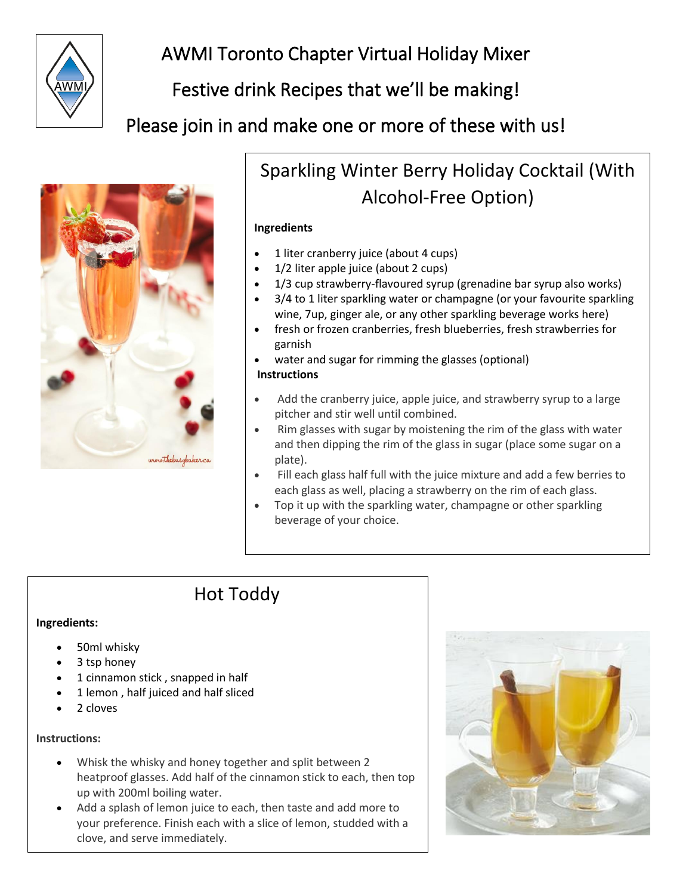

# AWMI Toronto Chapter Virtual Holiday Mixer

## Festive drink Recipes that we'll be making!

Please join in and make one or more of these with us!



## Sparkling Winter Berry Holiday Cocktail (With Alcohol-Free Option)

#### **Ingredients**

- 1 liter cranberry juice (about 4 cups)
- 1/2 liter apple juice (about 2 cups)
- 1/3 cup strawberry-flavoured syrup (grenadine bar syrup also works)
- 3/4 to 1 liter sparkling water or champagne (or your favourite sparkling wine, 7up, ginger ale, or any other sparkling beverage works here)
- fresh or frozen cranberries, fresh blueberries, fresh strawberries for garnish
- water and sugar for rimming the glasses (optional)

#### **Instructions**

- Add the cranberry juice, apple juice, and strawberry syrup to a large pitcher and stir well until combined.
- Rim glasses with sugar by moistening the rim of the glass with water and then dipping the rim of the glass in sugar (place some sugar on a plate).
- Fill each glass half full with the juice mixture and add a few berries to each glass as well, placing a strawberry on the rim of each glass.
- Top it up with the sparkling water, champagne or other sparkling beverage of your choice.

## Hot Toddy

#### **Ingredients:**

- 50ml [whisky](https://www.bbcgoodfood.com/glossary/whisky-glossary)
- 3 tsp [honey](https://www.bbcgoodfood.com/glossary/honey-glossary)
- 1 [cinnamon stick](https://www.bbcgoodfood.com/glossary/cinnamon-glossary) , snapped in half
- 1 [lemon](https://www.bbcgoodfood.com/glossary/lemon-glossary) , half juiced and half sliced
- 2 [cloves](https://www.bbcgoodfood.com/glossary/clove-glossary)

#### **Instructions:**

- Whisk the whisky and honey together and split between 2 heatproof glasses. Add half of the cinnamon stick to each, then top up with 200ml boiling water.
- Add a splash of lemon juice to each, then taste and add more to your preference. Finish each with a slice of lemon, studded with a clove, and serve immediately.